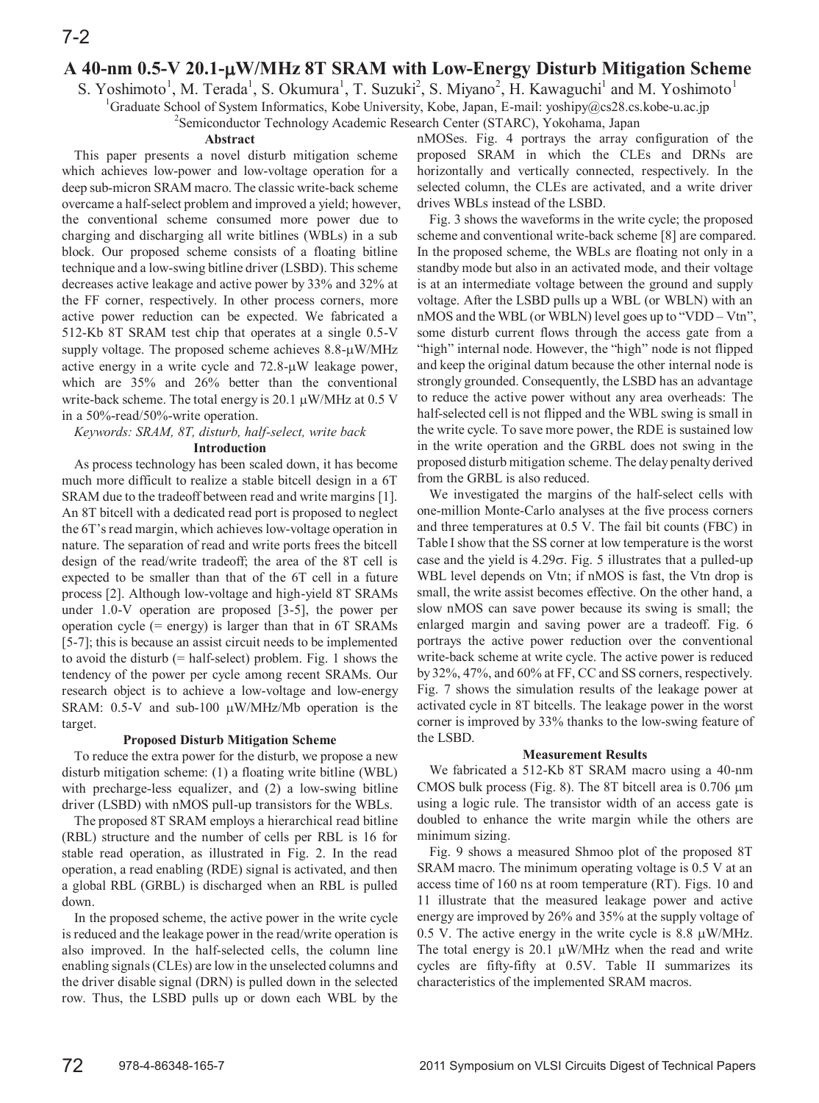# **A 40-nm 0.5-V 20.1-W/MHz 8T SRAM with Low-Energy Disturb Mitigation Scheme**

S. Yoshimoto<sup>1</sup>, M. Terada<sup>1</sup>, S. Okumura<sup>1</sup>, T. Suzuki<sup>2</sup>, S. Miyano<sup>2</sup>, H. Kawaguchi<sup>1</sup> and M. Yoshimoto<sup>1</sup>

<sup>1</sup>Graduate School of System Informatics, Kobe University, Kobe, Japan, E-mail: yoshipy@cs28.cs.kobe-u.ac.jp

<sup>2</sup> Semiconductor Technology Academic Research Center (STARC), Yokohama, Japan

### **Abstract**

This paper presents a novel disturb mitigation scheme which achieves low-power and low-voltage operation for a deep sub-micron SRAM macro. The classic write-back scheme overcame a half-select problem and improved a yield; however, the conventional scheme consumed more power due to charging and discharging all write bitlines (WBLs) in a sub block. Our proposed scheme consists of a floating bitline technique and a low-swing bitline driver (LSBD). This scheme decreases active leakage and active power by 33% and 32% at the FF corner, respectively. In other process corners, more active power reduction can be expected. We fabricated a 512-Kb 8T SRAM test chip that operates at a single 0.5-V supply voltage. The proposed scheme achieves  $8.8-\mu$ W/MHz active energy in a write cycle and  $72.8\text{-}\mu\text{W}$  leakage power, which are 35% and 26% better than the conventional write-back scheme. The total energy is 20.1  $\mu$ W/MHz at 0.5 V in a 50%-read/50%-write operation.

*Keywords: SRAM, 8T, disturb, half-select, write back*

## **Introduction**

As process technology has been scaled down, it has become much more difficult to realize a stable bitcell design in a 6T SRAM due to the tradeoff between read and write margins [1]. An 8T bitcell with a dedicated read port is proposed to neglect the 6T's read margin, which achieves low-voltage operation in nature. The separation of read and write ports frees the bitcell design of the read/write tradeoff; the area of the 8T cell is expected to be smaller than that of the 6T cell in a future process [2]. Although low-voltage and high-yield 8T SRAMs under 1.0-V operation are proposed [3-5], the power per operation cycle (= energy) is larger than that in 6T SRAMs [5-7]; this is because an assist circuit needs to be implemented to avoid the disturb (= half-select) problem. Fig. 1 shows the tendency of the power per cycle among recent SRAMs. Our research object is to achieve a low-voltage and low-energy SRAM: 0.5-V and sub-100  $\mu$ W/MHz/Mb operation is the target.

### **Proposed Disturb Mitigation Scheme**

To reduce the extra power for the disturb, we propose a new disturb mitigation scheme: (1) a floating write bitline (WBL) with precharge-less equalizer, and (2) a low-swing bitline driver (LSBD) with nMOS pull-up transistors for the WBLs.

The proposed 8T SRAM employs a hierarchical read bitline (RBL) structure and the number of cells per RBL is 16 for stable read operation, as illustrated in Fig. 2. In the read operation, a read enabling (RDE) signal is activated, and then a global RBL (GRBL) is discharged when an RBL is pulled down.

In the proposed scheme, the active power in the write cycle is reduced and the leakage power in the read/write operation is also improved. In the half-selected cells, the column line enabling signals(CLEs) are low in the unselected columns and the driver disable signal (DRN) is pulled down in the selected row. Thus, the LSBD pulls up or down each WBL by the

nMOSes. Fig. 4 portrays the array configuration of the proposed SRAM in which the CLEs and DRNs are horizontally and vertically connected, respectively. In the selected column, the CLEs are activated, and a write driver drives WBLs instead of the LSBD.

Fig. 3 shows the waveforms in the write cycle; the proposed scheme and conventional write-back scheme [8] are compared. In the proposed scheme, the WBLs are floating not only in a standby mode but also in an activated mode, and their voltage is at an intermediate voltage between the ground and supply voltage. After the LSBD pulls up a WBL (or WBLN) with an nMOS and the WBL (or WBLN) level goes up to "VDD – Vtn", some disturb current flows through the access gate from a "high" internal node. However, the "high" node is not flipped and keep the original datum because the other internal node is strongly grounded. Consequently, the LSBD has an advantage to reduce the active power without any area overheads: The half-selected cell is not flipped and the WBL swing is small in the write cycle. To save more power, the RDE is sustained low in the write operation and the GRBL does not swing in the proposed disturb mitigation scheme. The delay penalty derived from the GRBL is also reduced.

We investigated the margins of the half-select cells with one-million Monte-Carlo analyses at the five process corners and three temperatures at 0.5 V. The fail bit counts (FBC) in Table I show that the SS corner at low temperature is the worst case and the yield is  $4.29\sigma$ . Fig. 5 illustrates that a pulled-up WBL level depends on Vtn; if nMOS is fast, the Vtn drop is small, the write assist becomes effective. On the other hand, a slow nMOS can save power because its swing is small; the enlarged margin and saving power are a tradeoff. Fig. 6 portrays the active power reduction over the conventional write-back scheme at write cycle. The active power is reduced by 32%, 47%, and 60% at FF, CC and SS corners, respectively. Fig. 7 shows the simulation results of the leakage power at activated cycle in 8T bitcells. The leakage power in the worst corner is improved by 33% thanks to the low-swing feature of the LSBD.

### **Measurement Results**

We fabricated a 512-Kb 8T SRAM macro using a 40-nm CMOS bulk process (Fig. 8). The 8T bitcell area is  $0.706 \mu m$ using a logic rule. The transistor width of an access gate is doubled to enhance the write margin while the others are minimum sizing.

Fig. 9 shows a measured Shmoo plot of the proposed 8T SRAM macro. The minimum operating voltage is 0.5 V at an access time of 160 ns at room temperature (RT). Figs. 10 and 11 illustrate that the measured leakage power and active energy are improved by 26% and 35% at the supply voltage of 0.5 V. The active energy in the write cycle is 8.8  $\mu$ W/MHz. The total energy is 20.1  $\mu$ W/MHz when the read and write cycles are fifty-fifty at 0.5V. Table II summarizes its characteristics of the implemented SRAM macros.